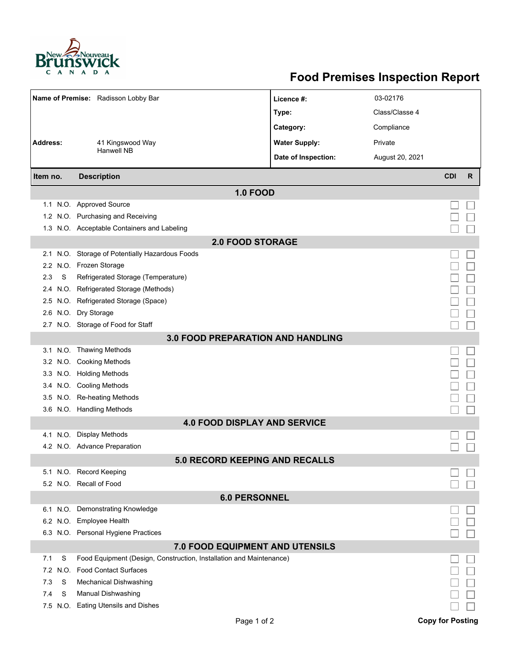

## **Food Premises Inspection Report**

| Name of Premise: Radisson Lobby Bar      |          |                                                                     | Licence #:           | 03-02176        |            |   |  |
|------------------------------------------|----------|---------------------------------------------------------------------|----------------------|-----------------|------------|---|--|
|                                          |          |                                                                     | Type:                | Class/Classe 4  |            |   |  |
|                                          |          |                                                                     | Category:            | Compliance      |            |   |  |
| <b>Address:</b>                          |          | 41 Kingswood Way                                                    | <b>Water Supply:</b> | Private         |            |   |  |
|                                          |          | <b>Hanwell NB</b>                                                   | Date of Inspection:  | August 20, 2021 |            |   |  |
|                                          |          |                                                                     |                      |                 |            |   |  |
| Item no.                                 |          | <b>Description</b>                                                  |                      |                 | <b>CDI</b> | R |  |
|                                          |          | <b>1.0 FOOD</b>                                                     |                      |                 |            |   |  |
|                                          |          | 1.1 N.O. Approved Source                                            |                      |                 |            |   |  |
|                                          |          | 1.2 N.O. Purchasing and Receiving                                   |                      |                 |            |   |  |
|                                          |          | 1.3 N.O. Acceptable Containers and Labeling                         |                      |                 |            |   |  |
| <b>2.0 FOOD STORAGE</b>                  |          |                                                                     |                      |                 |            |   |  |
|                                          |          | 2.1 N.O. Storage of Potentially Hazardous Foods                     |                      |                 |            |   |  |
|                                          |          | 2.2 N.O. Frozen Storage                                             |                      |                 |            |   |  |
| 2.3                                      | S        | Refrigerated Storage (Temperature)                                  |                      |                 |            |   |  |
| 2.4                                      |          | N.O. Refrigerated Storage (Methods)                                 |                      |                 |            |   |  |
|                                          |          | 2.5 N.O. Refrigerated Storage (Space)                               |                      |                 |            |   |  |
|                                          |          | 2.6 N.O. Dry Storage                                                |                      |                 |            |   |  |
|                                          |          | 2.7 N.O. Storage of Food for Staff                                  |                      |                 |            |   |  |
| <b>3.0 FOOD PREPARATION AND HANDLING</b> |          |                                                                     |                      |                 |            |   |  |
|                                          |          | 3.1 N.O. Thawing Methods                                            |                      |                 |            |   |  |
|                                          |          | 3.2 N.O. Cooking Methods                                            |                      |                 |            |   |  |
|                                          |          | 3.3 N.O. Holding Methods                                            |                      |                 |            |   |  |
|                                          |          | 3.4 N.O. Cooling Methods                                            |                      |                 |            |   |  |
|                                          |          | 3.5 N.O. Re-heating Methods                                         |                      |                 |            |   |  |
|                                          |          | 3.6 N.O. Handling Methods                                           |                      |                 |            |   |  |
| <b>4.0 FOOD DISPLAY AND SERVICE</b>      |          |                                                                     |                      |                 |            |   |  |
|                                          |          | 4.1 N.O. Display Methods                                            |                      |                 |            |   |  |
|                                          |          | 4.2 N.O. Advance Preparation                                        |                      |                 |            |   |  |
|                                          |          | <b>5.0 RECORD KEEPING AND RECALLS</b>                               |                      |                 |            |   |  |
|                                          |          | 5.1 N.O. Record Keeping                                             |                      |                 |            |   |  |
|                                          |          | 5.2 N.O. Recall of Food                                             |                      |                 |            |   |  |
|                                          |          | <b>6.0 PERSONNEL</b>                                                |                      |                 |            |   |  |
|                                          |          | 6.1 N.O. Demonstrating Knowledge                                    |                      |                 |            |   |  |
|                                          |          | 6.2 N.O. Employee Health                                            |                      |                 |            |   |  |
|                                          |          | 6.3 N.O. Personal Hygiene Practices                                 |                      |                 |            |   |  |
| 7.0 FOOD EQUIPMENT AND UTENSILS          |          |                                                                     |                      |                 |            |   |  |
| 7.1                                      | S        | Food Equipment (Design, Construction, Installation and Maintenance) |                      |                 |            |   |  |
|                                          | 7.2 N.O. | <b>Food Contact Surfaces</b>                                        |                      |                 |            |   |  |
| 7.3                                      | S        | <b>Mechanical Dishwashing</b>                                       |                      |                 |            |   |  |
| 7.4                                      | S        | Manual Dishwashing                                                  |                      |                 |            |   |  |
|                                          |          | 7.5 N.O. Eating Utensils and Dishes                                 |                      |                 |            |   |  |